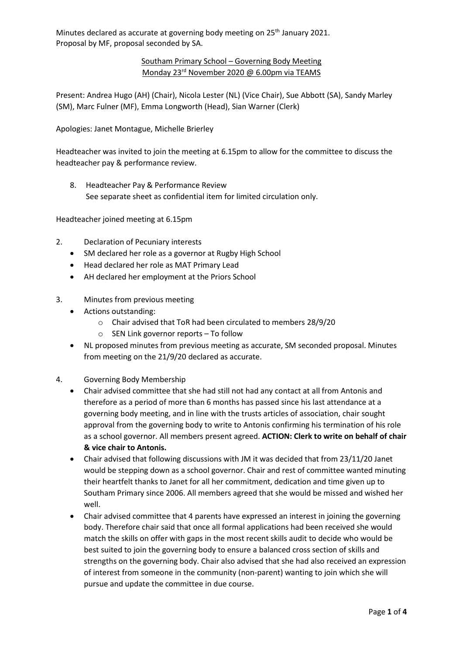## Southam Primary School – Governing Body Meeting Monday 23<sup>rd</sup> November 2020 @ 6.00pm via TEAMS

Present: Andrea Hugo (AH) (Chair), Nicola Lester (NL) (Vice Chair), Sue Abbott (SA), Sandy Marley (SM), Marc Fulner (MF), Emma Longworth (Head), Sian Warner (Clerk)

Apologies: Janet Montague, Michelle Brierley

Headteacher was invited to join the meeting at 6.15pm to allow for the committee to discuss the headteacher pay & performance review.

8. Headteacher Pay & Performance Review See separate sheet as confidential item for limited circulation only.

Headteacher joined meeting at 6.15pm

- 2. Declaration of Pecuniary interests
	- SM declared her role as a governor at Rugby High School
	- Head declared her role as MAT Primary Lead
	- AH declared her employment at the Priors School
- 3. Minutes from previous meeting
	- Actions outstanding:
		- o Chair advised that ToR had been circulated to members 28/9/20
		- o SEN Link governor reports To follow
		- NL proposed minutes from previous meeting as accurate, SM seconded proposal. Minutes from meeting on the 21/9/20 declared as accurate.
- 4. Governing Body Membership
	- Chair advised committee that she had still not had any contact at all from Antonis and therefore as a period of more than 6 months has passed since his last attendance at a governing body meeting, and in line with the trusts articles of association, chair sought approval from the governing body to write to Antonis confirming his termination of his role as a school governor. All members present agreed. **ACTION: Clerk to write on behalf of chair & vice chair to Antonis.**
	- Chair advised that following discussions with JM it was decided that from 23/11/20 Janet would be stepping down as a school governor. Chair and rest of committee wanted minuting their heartfelt thanks to Janet for all her commitment, dedication and time given up to Southam Primary since 2006. All members agreed that she would be missed and wished her well.
	- Chair advised committee that 4 parents have expressed an interest in joining the governing body. Therefore chair said that once all formal applications had been received she would match the skills on offer with gaps in the most recent skills audit to decide who would be best suited to join the governing body to ensure a balanced cross section of skills and strengths on the governing body. Chair also advised that she had also received an expression of interest from someone in the community (non-parent) wanting to join which she will pursue and update the committee in due course.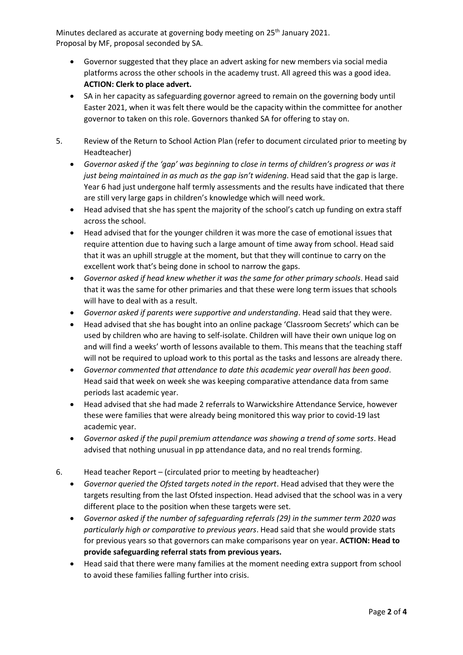- Governor suggested that they place an advert asking for new members via social media platforms across the other schools in the academy trust. All agreed this was a good idea. **ACTION: Clerk to place advert.**
- SA in her capacity as safeguarding governor agreed to remain on the governing body until Easter 2021, when it was felt there would be the capacity within the committee for another governor to taken on this role. Governors thanked SA for offering to stay on.
- 5. Review of the Return to School Action Plan (refer to document circulated prior to meeting by Headteacher)
	- *Governor asked if the 'gap' was beginning to close in terms of children's progress or was it just being maintained in as much as the gap isn't widening. Head said that the gap is large.* Year 6 had just undergone half termly assessments and the results have indicated that there are still very large gaps in children's knowledge which will need work.
	- Head advised that she has spent the majority of the school's catch up funding on extra staff across the school.
	- Head advised that for the younger children it was more the case of emotional issues that require attention due to having such a large amount of time away from school. Head said that it was an uphill struggle at the moment, but that they will continue to carry on the excellent work that's being done in school to narrow the gaps.
	- *Governor asked if head knew whether it was the same for other primary schools*. Head said that it was the same for other primaries and that these were long term issues that schools will have to deal with as a result.
	- *Governor asked if parents were supportive and understanding*. Head said that they were.
	- Head advised that she has bought into an online package 'Classroom Secrets' which can be used by children who are having to self-isolate. Children will have their own unique log on and will find a weeks' worth of lessons available to them. This means that the teaching staff will not be required to upload work to this portal as the tasks and lessons are already there.
	- *Governor commented that attendance to date this academic year overall has been good*. Head said that week on week she was keeping comparative attendance data from same periods last academic year.
	- Head advised that she had made 2 referrals to Warwickshire Attendance Service, however these were families that were already being monitored this way prior to covid-19 last academic year.
	- *Governor asked if the pupil premium attendance was showing a trend of some sorts*. Head advised that nothing unusual in pp attendance data, and no real trends forming.
- 6. Head teacher Report (circulated prior to meeting by headteacher)
	- *Governor queried the Ofsted targets noted in the report*. Head advised that they were the targets resulting from the last Ofsted inspection. Head advised that the school was in a very different place to the position when these targets were set.
	- *Governor asked if the number of safeguarding referrals (29) in the summer term 2020 was particularly high or comparative to previous years*. Head said that she would provide stats for previous years so that governors can make comparisons year on year. **ACTION: Head to provide safeguarding referral stats from previous years.**
	- Head said that there were many families at the moment needing extra support from school to avoid these families falling further into crisis.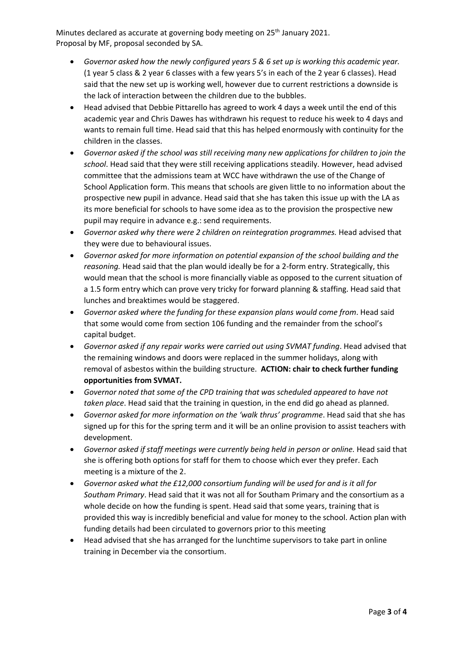- *Governor asked how the newly configured years 5 & 6 set up is working this academic year.* (1 year 5 class & 2 year 6 classes with a few years 5's in each of the 2 year 6 classes). Head said that the new set up is working well, however due to current restrictions a downside is the lack of interaction between the children due to the bubbles.
- Head advised that Debbie Pittarello has agreed to work 4 days a week until the end of this academic year and Chris Dawes has withdrawn his request to reduce his week to 4 days and wants to remain full time. Head said that this has helped enormously with continuity for the children in the classes.
- *Governor asked if the school was still receiving many new applications for children to join the school*. Head said that they were still receiving applications steadily. However, head advised committee that the admissions team at WCC have withdrawn the use of the Change of School Application form. This means that schools are given little to no information about the prospective new pupil in advance. Head said that she has taken this issue up with the LA as its more beneficial for schools to have some idea as to the provision the prospective new pupil may require in advance e.g.: send requirements.
- *Governor asked why there were 2 children on reintegration programmes.* Head advised that they were due to behavioural issues.
- *Governor asked for more information on potential expansion of the school building and the reasoning.* Head said that the plan would ideally be for a 2-form entry. Strategically, this would mean that the school is more financially viable as opposed to the current situation of a 1.5 form entry which can prove very tricky for forward planning & staffing. Head said that lunches and breaktimes would be staggered.
- *Governor asked where the funding for these expansion plans would come from*. Head said that some would come from section 106 funding and the remainder from the school's capital budget.
- *Governor asked if any repair works were carried out using SVMAT funding*. Head advised that the remaining windows and doors were replaced in the summer holidays, along with removal of asbestos within the building structure. **ACTION: chair to check further funding opportunities from SVMAT.**
- *Governor noted that some of the CPD training that was scheduled appeared to have not taken place*. Head said that the training in question, in the end did go ahead as planned.
- *Governor asked for more information on the 'walk thrus' programme*. Head said that she has signed up for this for the spring term and it will be an online provision to assist teachers with development.
- *Governor asked if staff meetings were currently being held in person or online.* Head said that she is offering both options for staff for them to choose which ever they prefer. Each meeting is a mixture of the 2.
- *Governor asked what the £12,000 consortium funding will be used for and is it all for Southam Primary*. Head said that it was not all for Southam Primary and the consortium as a whole decide on how the funding is spent. Head said that some years, training that is provided this way is incredibly beneficial and value for money to the school. Action plan with funding details had been circulated to governors prior to this meeting
- Head advised that she has arranged for the lunchtime supervisors to take part in online training in December via the consortium.